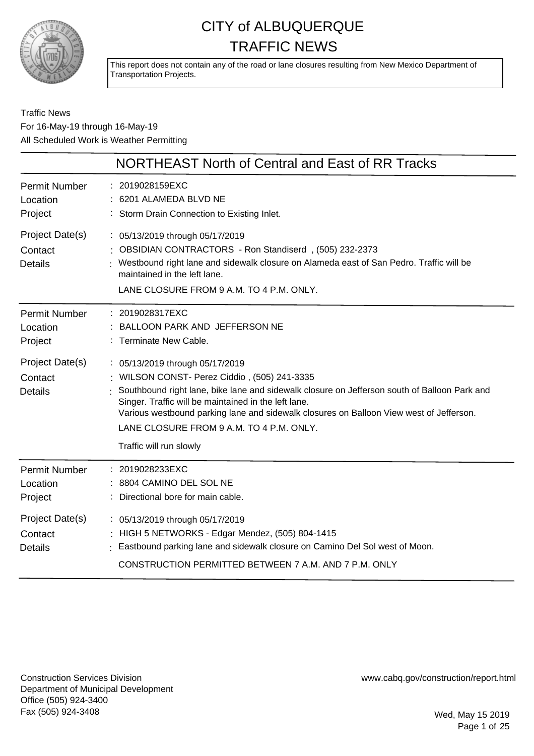

This report does not contain any of the road or lane closures resulting from New Mexico Department of Transportation Projects.

Traffic News For 16-May-19 through 16-May-19 All Scheduled Work is Weather Permitting

|                                              | NORTHEAST North of Central and East of RR Tracks                                                                                                                                                                                                                                                                                                                                                          |
|----------------------------------------------|-----------------------------------------------------------------------------------------------------------------------------------------------------------------------------------------------------------------------------------------------------------------------------------------------------------------------------------------------------------------------------------------------------------|
| <b>Permit Number</b><br>Location<br>Project  | : 2019028159EXC<br>: 6201 ALAMEDA BLVD NE<br>: Storm Drain Connection to Existing Inlet.                                                                                                                                                                                                                                                                                                                  |
| Project Date(s)<br>Contact<br><b>Details</b> | : 05/13/2019 through 05/17/2019<br>: OBSIDIAN CONTRACTORS - Ron Standiserd, (505) 232-2373<br>: Westbound right lane and sidewalk closure on Alameda east of San Pedro. Traffic will be<br>maintained in the left lane.<br>LANE CLOSURE FROM 9 A.M. TO 4 P.M. ONLY.                                                                                                                                       |
| <b>Permit Number</b><br>Location<br>Project  | 2019028317EXC<br>BALLOON PARK AND JEFFERSON NE<br>: Terminate New Cable.                                                                                                                                                                                                                                                                                                                                  |
| Project Date(s)<br>Contact<br><b>Details</b> | : 05/13/2019 through 05/17/2019<br>: WILSON CONST- Perez Ciddio, (505) 241-3335<br>Southbound right lane, bike lane and sidewalk closure on Jefferson south of Balloon Park and<br>Singer. Traffic will be maintained in the left lane.<br>Various westbound parking lane and sidewalk closures on Balloon View west of Jefferson.<br>LANE CLOSURE FROM 9 A.M. TO 4 P.M. ONLY.<br>Traffic will run slowly |
| <b>Permit Number</b><br>Location<br>Project  | : 2019028233EXC<br>: 8804 CAMINO DEL SOL NE<br>Directional bore for main cable.                                                                                                                                                                                                                                                                                                                           |
| Project Date(s)<br>Contact<br><b>Details</b> | : 05/13/2019 through 05/17/2019<br>: HIGH 5 NETWORKS - Edgar Mendez, (505) 804-1415<br>: Eastbound parking lane and sidewalk closure on Camino Del Sol west of Moon.<br>CONSTRUCTION PERMITTED BETWEEN 7 A.M. AND 7 P.M. ONLY                                                                                                                                                                             |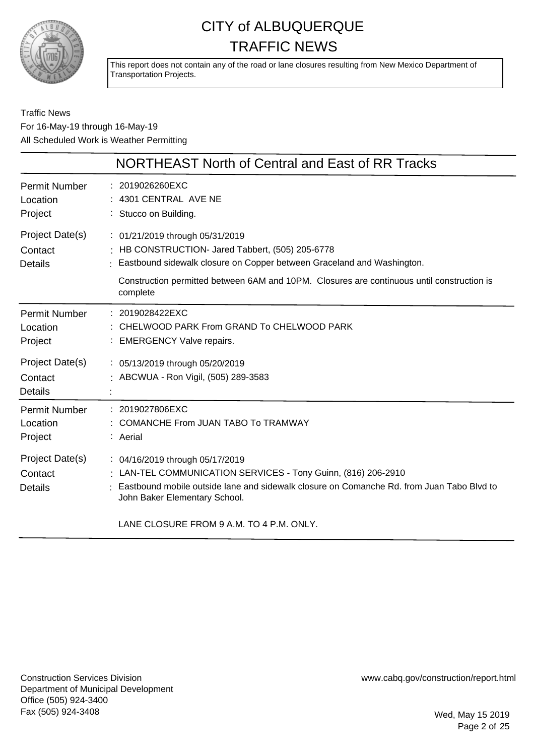

This report does not contain any of the road or lane closures resulting from New Mexico Department of Transportation Projects.

Traffic News For 16-May-19 through 16-May-19 All Scheduled Work is Weather Permitting

|                                              | NORTHEAST North of Central and East of RR Tracks                                                                                                                                                                                                                             |
|----------------------------------------------|------------------------------------------------------------------------------------------------------------------------------------------------------------------------------------------------------------------------------------------------------------------------------|
| <b>Permit Number</b><br>Location<br>Project  | : 2019026260EXC<br>: 4301 CENTRAL AVE NE<br>: Stucco on Building.                                                                                                                                                                                                            |
| Project Date(s)<br>Contact<br><b>Details</b> | : 01/21/2019 through 05/31/2019<br>: HB CONSTRUCTION- Jared Tabbert, (505) 205-6778<br>: Eastbound sidewalk closure on Copper between Graceland and Washington.<br>Construction permitted between 6AM and 10PM. Closures are continuous until construction is<br>complete    |
| <b>Permit Number</b><br>Location<br>Project  | : 2019028422EXC<br>: CHELWOOD PARK From GRAND To CHELWOOD PARK<br><b>EMERGENCY Valve repairs.</b>                                                                                                                                                                            |
| Project Date(s)<br>Contact<br><b>Details</b> | : 05/13/2019 through 05/20/2019<br>: ABCWUA - Ron Vigil, (505) 289-3583                                                                                                                                                                                                      |
| <b>Permit Number</b><br>Location<br>Project  | : 2019027806EXC<br>: COMANCHE From JUAN TABO To TRAMWAY<br>: Aerial                                                                                                                                                                                                          |
| Project Date(s)<br>Contact<br><b>Details</b> | : 04/16/2019 through 05/17/2019<br>: LAN-TEL COMMUNICATION SERVICES - Tony Guinn, (816) 206-2910<br>: Eastbound mobile outside lane and sidewalk closure on Comanche Rd. from Juan Tabo Blvd to<br>John Baker Elementary School.<br>LANE CLOSURE FROM 9 A.M. TO 4 P.M. ONLY. |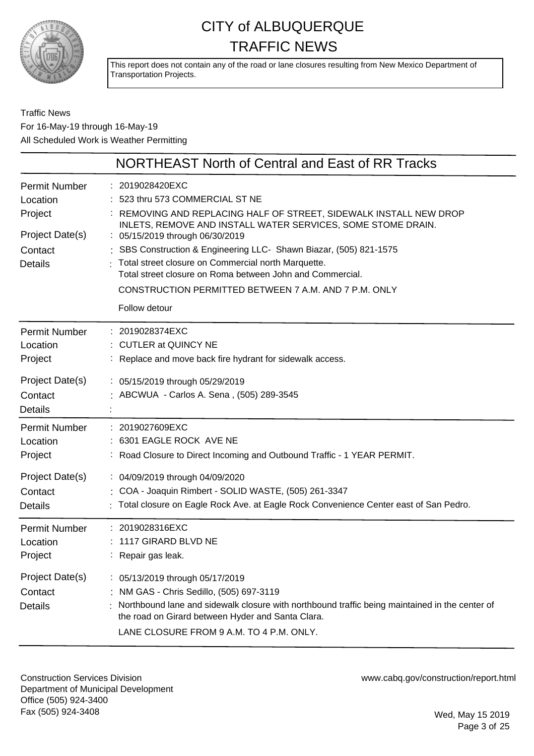

This report does not contain any of the road or lane closures resulting from New Mexico Department of Transportation Projects.

#### Traffic News For 16-May-19 through 16-May-19 All Scheduled Work is Weather Permitting

|                                                                                             | NORTHEAST North of Central and East of RR Tracks                                                                                                                                                                                                                                                                                                                                                                                                                                          |
|---------------------------------------------------------------------------------------------|-------------------------------------------------------------------------------------------------------------------------------------------------------------------------------------------------------------------------------------------------------------------------------------------------------------------------------------------------------------------------------------------------------------------------------------------------------------------------------------------|
| <b>Permit Number</b><br>Location<br>Project<br>Project Date(s)<br>Contact<br><b>Details</b> | 2019028420EXC<br>523 thru 573 COMMERCIAL ST NE<br>REMOVING AND REPLACING HALF OF STREET, SIDEWALK INSTALL NEW DROP<br>INLETS, REMOVE AND INSTALL WATER SERVICES, SOME STOME DRAIN.<br>: 05/15/2019 through 06/30/2019<br>: SBS Construction & Engineering LLC- Shawn Biazar, (505) 821-1575<br>Total street closure on Commercial north Marquette.<br>Total street closure on Roma between John and Commercial.<br>CONSTRUCTION PERMITTED BETWEEN 7 A.M. AND 7 P.M. ONLY<br>Follow detour |
| <b>Permit Number</b>                                                                        | 2019028374EXC                                                                                                                                                                                                                                                                                                                                                                                                                                                                             |
| Location                                                                                    | <b>CUTLER at QUINCY NE</b>                                                                                                                                                                                                                                                                                                                                                                                                                                                                |
| Project                                                                                     | Replace and move back fire hydrant for sidewalk access.                                                                                                                                                                                                                                                                                                                                                                                                                                   |
| Project Date(s)<br>Contact<br><b>Details</b>                                                | : 05/15/2019 through 05/29/2019<br>ABCWUA - Carlos A. Sena, (505) 289-3545                                                                                                                                                                                                                                                                                                                                                                                                                |
| <b>Permit Number</b>                                                                        | 2019027609EXC                                                                                                                                                                                                                                                                                                                                                                                                                                                                             |
| Location                                                                                    | : 6301 EAGLE ROCK AVE NE                                                                                                                                                                                                                                                                                                                                                                                                                                                                  |
| Project                                                                                     | Road Closure to Direct Incoming and Outbound Traffic - 1 YEAR PERMIT.                                                                                                                                                                                                                                                                                                                                                                                                                     |
| Project Date(s)                                                                             | : 04/09/2019 through 04/09/2020                                                                                                                                                                                                                                                                                                                                                                                                                                                           |
| Contact                                                                                     | : COA - Joaquin Rimbert - SOLID WASTE, (505) 261-3347                                                                                                                                                                                                                                                                                                                                                                                                                                     |
| <b>Details</b>                                                                              | Total closure on Eagle Rock Ave. at Eagle Rock Convenience Center east of San Pedro.                                                                                                                                                                                                                                                                                                                                                                                                      |
| <b>Permit Number</b>                                                                        | 2019028316EXC                                                                                                                                                                                                                                                                                                                                                                                                                                                                             |
| Location                                                                                    | 1117 GIRARD BLVD NE                                                                                                                                                                                                                                                                                                                                                                                                                                                                       |
| Project                                                                                     | : Repair gas leak.                                                                                                                                                                                                                                                                                                                                                                                                                                                                        |
| Project Date(s)<br>Contact<br><b>Details</b>                                                | : 05/13/2019 through 05/17/2019<br>NM GAS - Chris Sedillo, (505) 697-3119<br>Northbound lane and sidewalk closure with northbound traffic being maintained in the center of<br>the road on Girard between Hyder and Santa Clara.<br>LANE CLOSURE FROM 9 A.M. TO 4 P.M. ONLY.                                                                                                                                                                                                              |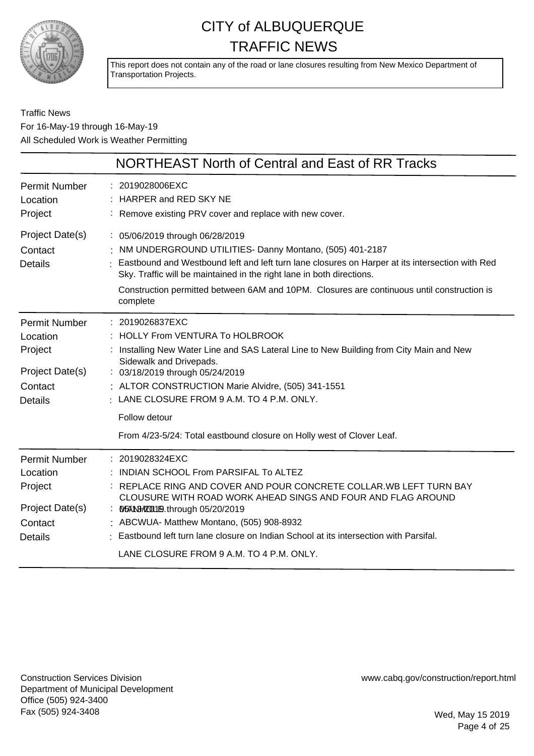

This report does not contain any of the road or lane closures resulting from New Mexico Department of Transportation Projects.

Traffic News For 16-May-19 through 16-May-19 All Scheduled Work is Weather Permitting

|                                                                                             | NORTHEAST North of Central and East of RR Tracks                                                                                                                                                                                                                                                                                                                                                                    |
|---------------------------------------------------------------------------------------------|---------------------------------------------------------------------------------------------------------------------------------------------------------------------------------------------------------------------------------------------------------------------------------------------------------------------------------------------------------------------------------------------------------------------|
| <b>Permit Number</b><br>Location<br>Project                                                 | : 2019028006EXC<br>: HARPER and RED SKY NE<br>: Remove existing PRV cover and replace with new cover.                                                                                                                                                                                                                                                                                                               |
| Project Date(s)<br>Contact<br><b>Details</b>                                                | : 05/06/2019 through 06/28/2019<br>NM UNDERGROUND UTILITIES- Danny Montano, (505) 401-2187<br>Eastbound and Westbound left and left turn lane closures on Harper at its intersection with Red<br>Sky. Traffic will be maintained in the right lane in both directions.<br>Construction permitted between 6AM and 10PM. Closures are continuous until construction is<br>complete                                    |
| <b>Permit Number</b><br>Location<br>Project<br>Project Date(s)<br>Contact<br><b>Details</b> | : 2019026837EXC<br>: HOLLY From VENTURA To HOLBROOK<br>: Installing New Water Line and SAS Lateral Line to New Building from City Main and New<br>Sidewalk and Drivepads.<br>: 03/18/2019 through 05/24/2019<br>: ALTOR CONSTRUCTION Marie Alvidre, (505) 341-1551<br>$\cdot$ LANE CLOSURE FROM 9 A.M. TO 4 P.M. ONLY.<br>Follow detour<br>From 4/23-5/24: Total eastbound closure on Holly west of Clover Leaf.    |
| <b>Permit Number</b><br>Location<br>Project<br>Project Date(s)<br>Contact<br><b>Details</b> | : 2019028324EXC<br>INDIAN SCHOOL From PARSIFAL To ALTEZ<br>REPLACE RING AND COVER AND POUR CONCRETE COLLAR. WB LEFT TURN BAY<br>CLOUSURE WITH ROAD WORK AHEAD SINGS AND FOUR AND FLAG AROUND<br>: M54103H200119.through 05/20/2019<br>: ABCWUA- Matthew Montano, (505) 908-8932<br>Eastbound left turn lane closure on Indian School at its intersection with Parsifal.<br>LANE CLOSURE FROM 9 A.M. TO 4 P.M. ONLY. |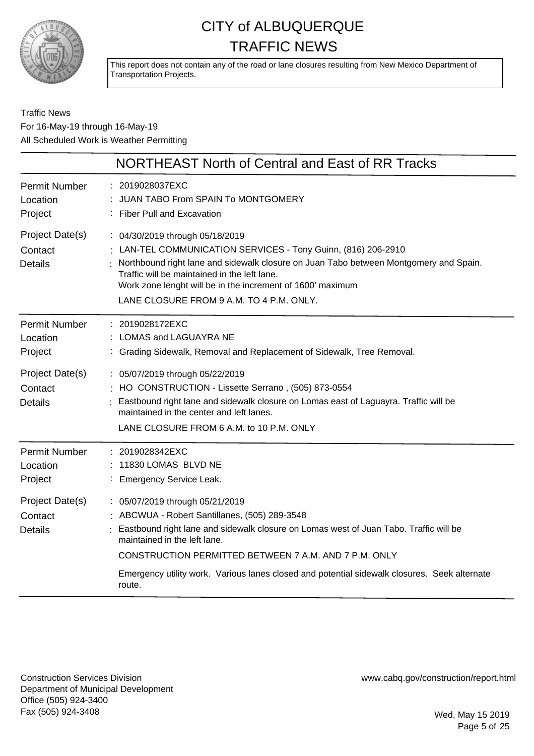

This report does not contain any of the road or lane closures resulting from New Mexico Department of Transportation Projects.

#### Traffic News For 16-May-19 through 16-May-19 All Scheduled Work is Weather Permitting

|                                              | NORTHEAST North of Central and East of RR Tracks                                                                                                                                                                                                                                                                                                                             |
|----------------------------------------------|------------------------------------------------------------------------------------------------------------------------------------------------------------------------------------------------------------------------------------------------------------------------------------------------------------------------------------------------------------------------------|
| <b>Permit Number</b><br>Location<br>Project  | : 2019028037EXC<br>: JUAN TABO From SPAIN To MONTGOMERY<br>: Fiber Pull and Excavation                                                                                                                                                                                                                                                                                       |
| Project Date(s)<br>Contact<br><b>Details</b> | : 04/30/2019 through 05/18/2019<br>: LAN-TEL COMMUNICATION SERVICES - Tony Guinn, (816) 206-2910<br>Northbound right lane and sidewalk closure on Juan Tabo between Montgomery and Spain.<br>Traffic will be maintained in the left lane.<br>Work zone lenght will be in the increment of 1600' maximum<br>LANE CLOSURE FROM 9 A.M. TO 4 P.M. ONLY.                          |
| <b>Permit Number</b><br>Location<br>Project  | : 2019028172EXC<br>LOMAS and LAGUAYRA NE<br>: Grading Sidewalk, Removal and Replacement of Sidewalk, Tree Removal.                                                                                                                                                                                                                                                           |
| Project Date(s)<br>Contact<br><b>Details</b> | : 05/07/2019 through 05/22/2019<br>: HO CONSTRUCTION - Lissette Serrano, (505) 873-0554<br>Eastbound right lane and sidewalk closure on Lomas east of Laguayra. Traffic will be<br>maintained in the center and left lanes.<br>LANE CLOSURE FROM 6 A.M. to 10 P.M. ONLY                                                                                                      |
| <b>Permit Number</b><br>Location<br>Project  | : 2019028342EXC<br>: 11830 LOMAS BLVD NE<br>: Emergency Service Leak.                                                                                                                                                                                                                                                                                                        |
| Project Date(s)<br>Contact<br><b>Details</b> | : 05/07/2019 through 05/21/2019<br>: ABCWUA - Robert Santillanes, (505) 289-3548<br>Eastbound right lane and sidewalk closure on Lomas west of Juan Tabo. Traffic will be<br>maintained in the left lane.<br>CONSTRUCTION PERMITTED BETWEEN 7 A.M. AND 7 P.M. ONLY<br>Emergency utility work. Various lanes closed and potential sidewalk closures. Seek alternate<br>route. |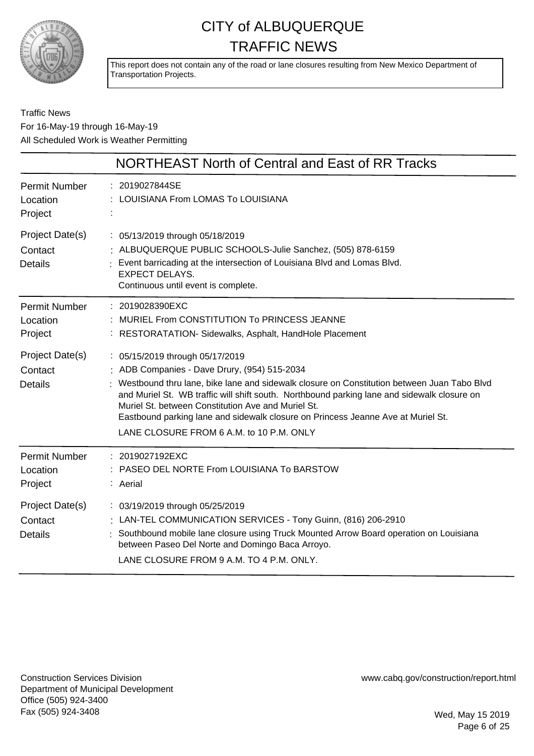

This report does not contain any of the road or lane closures resulting from New Mexico Department of Transportation Projects.

#### Traffic News For 16-May-19 through 16-May-19 All Scheduled Work is Weather Permitting

|                                              | NORTHEAST North of Central and East of RR Tracks                                                                                                                                                                                                                                                                                                                                                                                                                   |
|----------------------------------------------|--------------------------------------------------------------------------------------------------------------------------------------------------------------------------------------------------------------------------------------------------------------------------------------------------------------------------------------------------------------------------------------------------------------------------------------------------------------------|
| <b>Permit Number</b><br>Location<br>Project  | : 2019027844SE<br>LOUISIANA From LOMAS To LOUISIANA                                                                                                                                                                                                                                                                                                                                                                                                                |
| Project Date(s)<br>Contact<br><b>Details</b> | : 05/13/2019 through 05/18/2019<br>: ALBUQUERQUE PUBLIC SCHOOLS-Julie Sanchez, (505) 878-6159<br>Event barricading at the intersection of Louisiana Blvd and Lomas Blvd.<br><b>EXPECT DELAYS.</b><br>Continuous until event is complete.                                                                                                                                                                                                                           |
| <b>Permit Number</b><br>Location<br>Project  | : 2019028390EXC<br>: MURIEL From CONSTITUTION To PRINCESS JEANNE<br>: RESTORATATION- Sidewalks, Asphalt, HandHole Placement                                                                                                                                                                                                                                                                                                                                        |
| Project Date(s)<br>Contact<br><b>Details</b> | : 05/15/2019 through 05/17/2019<br>: ADB Companies - Dave Drury, (954) 515-2034<br>Westbound thru lane, bike lane and sidewalk closure on Constitution between Juan Tabo Blvd<br>and Muriel St. WB traffic will shift south. Northbound parking lane and sidewalk closure on<br>Muriel St. between Constitution Ave and Muriel St.<br>Eastbound parking lane and sidewalk closure on Princess Jeanne Ave at Muriel St.<br>LANE CLOSURE FROM 6 A.M. to 10 P.M. ONLY |
| <b>Permit Number</b><br>Location<br>Project  | : 2019027192EXC<br>PASEO DEL NORTE From LOUISIANA To BARSTOW<br>: Aerial                                                                                                                                                                                                                                                                                                                                                                                           |
| Project Date(s)<br>Contact<br><b>Details</b> | : 03/19/2019 through 05/25/2019<br>: LAN-TEL COMMUNICATION SERVICES - Tony Guinn, (816) 206-2910<br>Southbound mobile lane closure using Truck Mounted Arrow Board operation on Louisiana<br>between Paseo Del Norte and Domingo Baca Arroyo.<br>LANE CLOSURE FROM 9 A.M. TO 4 P.M. ONLY.                                                                                                                                                                          |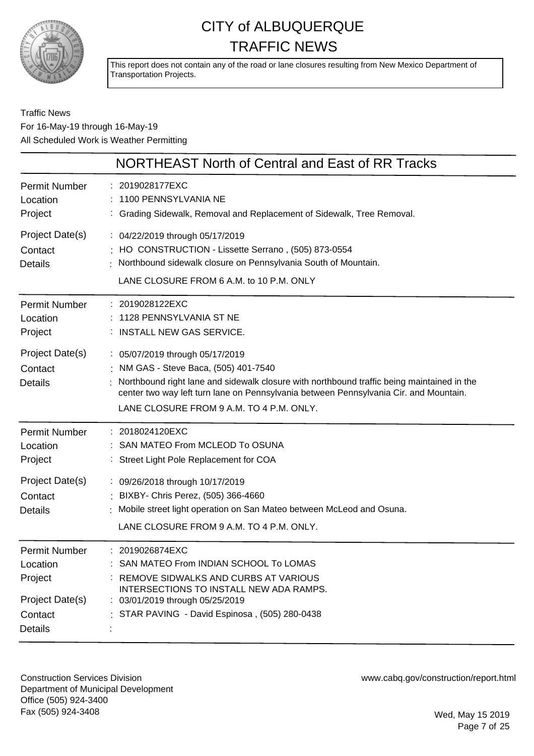

This report does not contain any of the road or lane closures resulting from New Mexico Department of Transportation Projects.

#### Traffic News For 16-May-19 through 16-May-19 All Scheduled Work is Weather Permitting

|                                              | NORTHEAST North of Central and East of RR Tracks                                                                                                                                                                                                                                                            |
|----------------------------------------------|-------------------------------------------------------------------------------------------------------------------------------------------------------------------------------------------------------------------------------------------------------------------------------------------------------------|
| Permit Number                                | : 2019028177EXC                                                                                                                                                                                                                                                                                             |
| Location                                     | 1100 PENNSYLVANIA NE                                                                                                                                                                                                                                                                                        |
| Project                                      | : Grading Sidewalk, Removal and Replacement of Sidewalk, Tree Removal.                                                                                                                                                                                                                                      |
| Project Date(s)<br>Contact<br><b>Details</b> | : 04/22/2019 through 05/17/2019<br>: HO CONSTRUCTION - Lissette Serrano, (505) 873-0554<br>Northbound sidewalk closure on Pennsylvania South of Mountain.<br>LANE CLOSURE FROM 6 A.M. to 10 P.M. ONLY                                                                                                       |
| Permit Number                                | : 2019028122EXC                                                                                                                                                                                                                                                                                             |
| Location                                     | 1128 PENNSYLVANIA ST NE                                                                                                                                                                                                                                                                                     |
| Project                                      | : INSTALL NEW GAS SERVICE.                                                                                                                                                                                                                                                                                  |
| Project Date(s)<br>Contact<br><b>Details</b> | : 05/07/2019 through 05/17/2019<br>: NM GAS - Steve Baca, (505) 401-7540<br>Northbound right lane and sidewalk closure with northbound traffic being maintained in the<br>center two way left turn lane on Pennsylvania between Pennsylvania Cir. and Mountain.<br>LANE CLOSURE FROM 9 A.M. TO 4 P.M. ONLY. |
| Permit Number                                | : 2018024120EXC                                                                                                                                                                                                                                                                                             |
| Location                                     | : SAN MATEO From MCLEOD To OSUNA                                                                                                                                                                                                                                                                            |
| Project                                      | : Street Light Pole Replacement for COA                                                                                                                                                                                                                                                                     |
| Project Date(s)<br>Contact<br><b>Details</b> | : 09/26/2018 through 10/17/2019<br>: BIXBY- Chris Perez, (505) 366-4660<br>: Mobile street light operation on San Mateo between McLeod and Osuna.<br>LANE CLOSURE FROM 9 A.M. TO 4 P.M. ONLY.                                                                                                               |
| <b>Permit Number</b>                         | : 2019026874EXC                                                                                                                                                                                                                                                                                             |
| Location                                     | : SAN MATEO From INDIAN SCHOOL To LOMAS                                                                                                                                                                                                                                                                     |
| Project                                      | REMOVE SIDWALKS AND CURBS AT VARIOUS                                                                                                                                                                                                                                                                        |
| Project Date(s)                              | INTERSECTIONS TO INSTALL NEW ADA RAMPS.                                                                                                                                                                                                                                                                     |
| Contact                                      | : 03/01/2019 through 05/25/2019                                                                                                                                                                                                                                                                             |
| Details                                      | : STAR PAVING - David Espinosa, (505) 280-0438                                                                                                                                                                                                                                                              |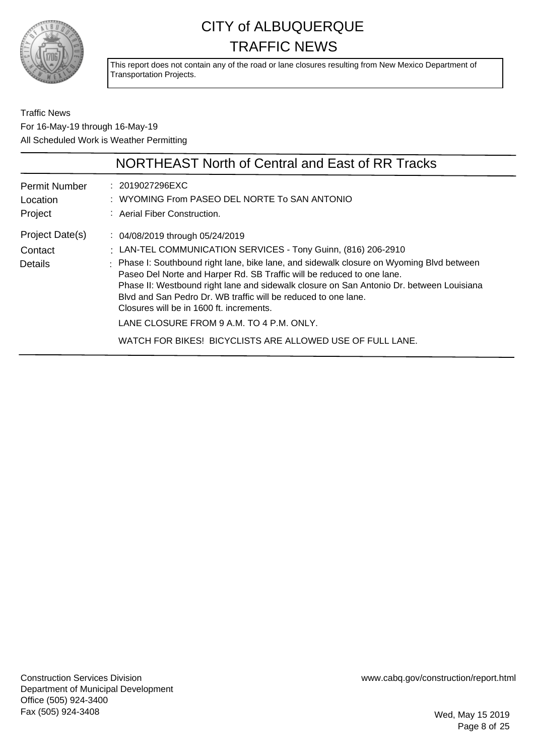

This report does not contain any of the road or lane closures resulting from New Mexico Department of Transportation Projects.

Traffic News For 16-May-19 through 16-May-19 All Scheduled Work is Weather Permitting

|                                      | NORTHEAST North of Central and East of RR Tracks                                                                                                                                                                                                                                                                                                                              |
|--------------------------------------|-------------------------------------------------------------------------------------------------------------------------------------------------------------------------------------------------------------------------------------------------------------------------------------------------------------------------------------------------------------------------------|
| Permit Number<br>Location<br>Project | : 2019027296EXC<br>: WYOMING From PASEO DEL NORTE To SAN ANTONIO<br>: Aerial Fiber Construction.                                                                                                                                                                                                                                                                              |
| Project Date(s)<br>Contact           | : 04/08/2019 through 05/24/2019<br>: LAN-TEL COMMUNICATION SERVICES - Tony Guinn, (816) 206-2910                                                                                                                                                                                                                                                                              |
| Details                              | : Phase I: Southbound right lane, bike lane, and sidewalk closure on Wyoming Blvd between<br>Paseo Del Norte and Harper Rd. SB Traffic will be reduced to one lane.<br>Phase II: Westbound right lane and sidewalk closure on San Antonio Dr. between Louisiana<br>Blyd and San Pedro Dr. WB traffic will be reduced to one lane.<br>Closures will be in 1600 ft. increments. |
|                                      | LANE CLOSURE FROM 9 A.M. TO 4 P.M. ONLY.                                                                                                                                                                                                                                                                                                                                      |
|                                      | WATCH FOR BIKES! BICYCLISTS ARE ALLOWED USE OF FULL LANE.                                                                                                                                                                                                                                                                                                                     |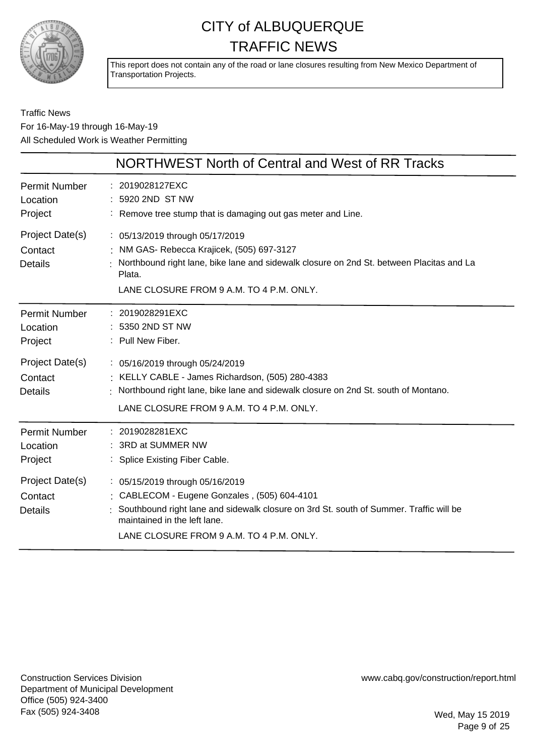

This report does not contain any of the road or lane closures resulting from New Mexico Department of Transportation Projects.

#### Traffic News For 16-May-19 through 16-May-19 All Scheduled Work is Weather Permitting

|                                              | NORTHWEST North of Central and West of RR Tracks                                                                                                                                                                                                      |
|----------------------------------------------|-------------------------------------------------------------------------------------------------------------------------------------------------------------------------------------------------------------------------------------------------------|
| Permit Number<br>Location<br>Project         | : 2019028127EXC<br>5920 2ND ST NW<br>: Remove tree stump that is damaging out gas meter and Line.                                                                                                                                                     |
| Project Date(s)<br>Contact<br><b>Details</b> | : 05/13/2019 through 05/17/2019<br>: NM GAS- Rebecca Krajicek, (505) 697-3127<br>Northbound right lane, bike lane and sidewalk closure on 2nd St. between Placitas and La<br>Plata.<br>LANE CLOSURE FROM 9 A.M. TO 4 P.M. ONLY.                       |
| <b>Permit Number</b><br>Location<br>Project  | : 2019028291EXC<br>: 5350 2ND ST NW<br>: Pull New Fiber.                                                                                                                                                                                              |
| Project Date(s)<br>Contact<br><b>Details</b> | : 05/16/2019 through 05/24/2019<br>: KELLY CABLE - James Richardson, (505) 280-4383<br>Northbound right lane, bike lane and sidewalk closure on 2nd St. south of Montano.<br>LANE CLOSURE FROM 9 A.M. TO 4 P.M. ONLY.                                 |
| <b>Permit Number</b><br>Location<br>Project  | : 2019028281EXC<br>3RD at SUMMER NW<br>: Splice Existing Fiber Cable.                                                                                                                                                                                 |
| Project Date(s)<br>Contact<br><b>Details</b> | : 05/15/2019 through 05/16/2019<br>: CABLECOM - Eugene Gonzales, (505) 604-4101<br>Southbound right lane and sidewalk closure on 3rd St. south of Summer. Traffic will be<br>maintained in the left lane.<br>LANE CLOSURE FROM 9 A.M. TO 4 P.M. ONLY. |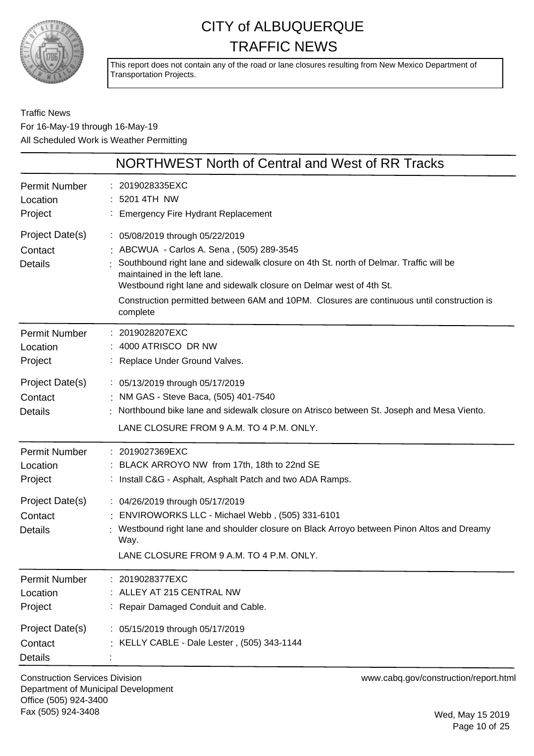

This report does not contain any of the road or lane closures resulting from New Mexico Department of Transportation Projects.

Traffic News For 16-May-19 through 16-May-19 All Scheduled Work is Weather Permitting

|                                                                                             | NORTHWEST North of Central and West of RR Tracks                                                                                                                                                                                                                                                                                                                                        |
|---------------------------------------------------------------------------------------------|-----------------------------------------------------------------------------------------------------------------------------------------------------------------------------------------------------------------------------------------------------------------------------------------------------------------------------------------------------------------------------------------|
| <b>Permit Number</b><br>Location<br>Project                                                 | 2019028335EXC<br>5201 4TH NW<br><b>Emergency Fire Hydrant Replacement</b>                                                                                                                                                                                                                                                                                                               |
| Project Date(s)<br>Contact<br><b>Details</b>                                                | : 05/08/2019 through 05/22/2019<br>: ABCWUA - Carlos A. Sena, (505) 289-3545<br>Southbound right lane and sidewalk closure on 4th St. north of Delmar. Traffic will be<br>maintained in the left lane.<br>Westbound right lane and sidewalk closure on Delmar west of 4th St.<br>Construction permitted between 6AM and 10PM. Closures are continuous until construction is<br>complete |
| <b>Permit Number</b><br>Location<br>Project                                                 | : 2019028207EXC<br>4000 ATRISCO DR NW<br>: Replace Under Ground Valves.                                                                                                                                                                                                                                                                                                                 |
| Project Date(s)<br>Contact<br><b>Details</b>                                                | : 05/13/2019 through 05/17/2019<br>: NM GAS - Steve Baca, (505) 401-7540<br>Northbound bike lane and sidewalk closure on Atrisco between St. Joseph and Mesa Viento.<br>LANE CLOSURE FROM 9 A.M. TO 4 P.M. ONLY.                                                                                                                                                                        |
| <b>Permit Number</b><br>Location<br>Project<br>Project Date(s)<br>Contact<br><b>Details</b> | : 2019027369EXC<br>BLACK ARROYO NW from 17th, 18th to 22nd SE<br>: Install C&G - Asphalt, Asphalt Patch and two ADA Ramps.<br>: 04/26/2019 through 05/17/2019<br>ENVIROWORKS LLC - Michael Webb, (505) 331-6101<br>Westbound right lane and shoulder closure on Black Arroyo between Pinon Altos and Dreamy<br>Way.<br>LANE CLOSURE FROM 9 A.M. TO 4 P.M. ONLY.                         |
| <b>Permit Number</b><br>Location<br>Project                                                 | 2019028377EXC<br>ALLEY AT 215 CENTRAL NW<br>Repair Damaged Conduit and Cable.                                                                                                                                                                                                                                                                                                           |
| Project Date(s)<br>Contact<br><b>Details</b>                                                | : 05/15/2019 through 05/17/2019<br>KELLY CABLE - Dale Lester, (505) 343-1144                                                                                                                                                                                                                                                                                                            |

Construction Services Division Department of Municipal Development Office (505) 924-3400 Fax (505) 924-3408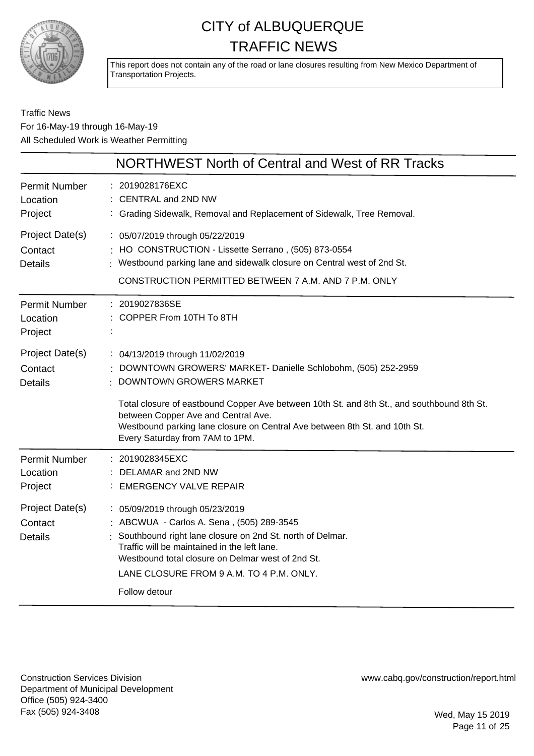

This report does not contain any of the road or lane closures resulting from New Mexico Department of Transportation Projects.

#### Traffic News For 16-May-19 through 16-May-19 All Scheduled Work is Weather Permitting

|                                              | NORTHWEST North of Central and West of RR Tracks                                                                                                                                                                                                                                                            |
|----------------------------------------------|-------------------------------------------------------------------------------------------------------------------------------------------------------------------------------------------------------------------------------------------------------------------------------------------------------------|
| <b>Permit Number</b><br>Location<br>Project  | : 2019028176EXC<br><b>CENTRAL and 2ND NW</b><br>: Grading Sidewalk, Removal and Replacement of Sidewalk, Tree Removal.                                                                                                                                                                                      |
| Project Date(s)<br>Contact<br><b>Details</b> | : 05/07/2019 through 05/22/2019<br>HO CONSTRUCTION - Lissette Serrano, (505) 873-0554<br>Westbound parking lane and sidewalk closure on Central west of 2nd St.<br>CONSTRUCTION PERMITTED BETWEEN 7 A.M. AND 7 P.M. ONLY                                                                                    |
| <b>Permit Number</b><br>Location<br>Project  | : 2019027836SE<br>COPPER From 10TH To 8TH                                                                                                                                                                                                                                                                   |
| Project Date(s)<br>Contact<br><b>Details</b> | : 04/13/2019 through 11/02/2019<br>: DOWNTOWN GROWERS' MARKET- Danielle Schlobohm, (505) 252-2959<br>DOWNTOWN GROWERS MARKET                                                                                                                                                                                |
|                                              | Total closure of eastbound Copper Ave between 10th St. and 8th St., and southbound 8th St.<br>between Copper Ave and Central Ave.<br>Westbound parking lane closure on Central Ave between 8th St. and 10th St.<br>Every Saturday from 7AM to 1PM.                                                          |
| <b>Permit Number</b><br>Location<br>Project  | : 2019028345EXC<br>DELAMAR and 2ND NW<br><b>EMERGENCY VALVE REPAIR</b>                                                                                                                                                                                                                                      |
| Project Date(s)<br>Contact<br><b>Details</b> | : 05/09/2019 through 05/23/2019<br>: ABCWUA - Carlos A. Sena, (505) 289-3545<br>Southbound right lane closure on 2nd St. north of Delmar.<br>Traffic will be maintained in the left lane.<br>Westbound total closure on Delmar west of 2nd St.<br>LANE CLOSURE FROM 9 A.M. TO 4 P.M. ONLY.<br>Follow detour |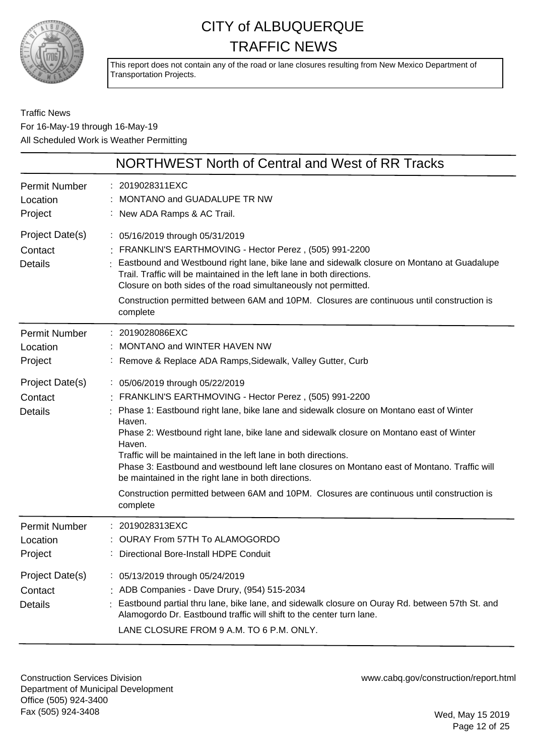

This report does not contain any of the road or lane closures resulting from New Mexico Department of Transportation Projects.

Traffic News For 16-May-19 through 16-May-19 All Scheduled Work is Weather Permitting

|                                              | NORTHWEST North of Central and West of RR Tracks                                                                                                                                                                                                                                                                                                                                                                                                                                                                                                                                                                                       |
|----------------------------------------------|----------------------------------------------------------------------------------------------------------------------------------------------------------------------------------------------------------------------------------------------------------------------------------------------------------------------------------------------------------------------------------------------------------------------------------------------------------------------------------------------------------------------------------------------------------------------------------------------------------------------------------------|
| <b>Permit Number</b><br>Location<br>Project  | : 2019028311EXC<br><b>MONTANO and GUADALUPE TR NW</b><br>: New ADA Ramps & AC Trail.                                                                                                                                                                                                                                                                                                                                                                                                                                                                                                                                                   |
| Project Date(s)<br>Contact<br><b>Details</b> | : 05/16/2019 through 05/31/2019<br>: FRANKLIN'S EARTHMOVING - Hector Perez, (505) 991-2200<br>Eastbound and Westbound right lane, bike lane and sidewalk closure on Montano at Guadalupe<br>Trail. Traffic will be maintained in the left lane in both directions.<br>Closure on both sides of the road simultaneously not permitted.<br>Construction permitted between 6AM and 10PM. Closures are continuous until construction is<br>complete                                                                                                                                                                                        |
| <b>Permit Number</b><br>Location<br>Project  | : 2019028086EXC<br>MONTANO and WINTER HAVEN NW<br>: Remove & Replace ADA Ramps, Sidewalk, Valley Gutter, Curb                                                                                                                                                                                                                                                                                                                                                                                                                                                                                                                          |
| Project Date(s)<br>Contact<br><b>Details</b> | : 05/06/2019 through 05/22/2019<br>FRANKLIN'S EARTHMOVING - Hector Perez, (505) 991-2200<br>Phase 1: Eastbound right lane, bike lane and sidewalk closure on Montano east of Winter<br>Haven.<br>Phase 2: Westbound right lane, bike lane and sidewalk closure on Montano east of Winter<br>Haven.<br>Traffic will be maintained in the left lane in both directions.<br>Phase 3: Eastbound and westbound left lane closures on Montano east of Montano. Traffic will<br>be maintained in the right lane in both directions.<br>Construction permitted between 6AM and 10PM. Closures are continuous until construction is<br>complete |
| <b>Permit Number</b><br>Location<br>Project  | 2019028313EXC<br>OURAY From 57TH To ALAMOGORDO<br>Directional Bore-Install HDPE Conduit                                                                                                                                                                                                                                                                                                                                                                                                                                                                                                                                                |
| Project Date(s)<br>Contact<br><b>Details</b> | : 05/13/2019 through 05/24/2019<br>: ADB Companies - Dave Drury, (954) 515-2034<br>Eastbound partial thru lane, bike lane, and sidewalk closure on Ouray Rd. between 57th St. and<br>Alamogordo Dr. Eastbound traffic will shift to the center turn lane.<br>LANE CLOSURE FROM 9 A.M. TO 6 P.M. ONLY.                                                                                                                                                                                                                                                                                                                                  |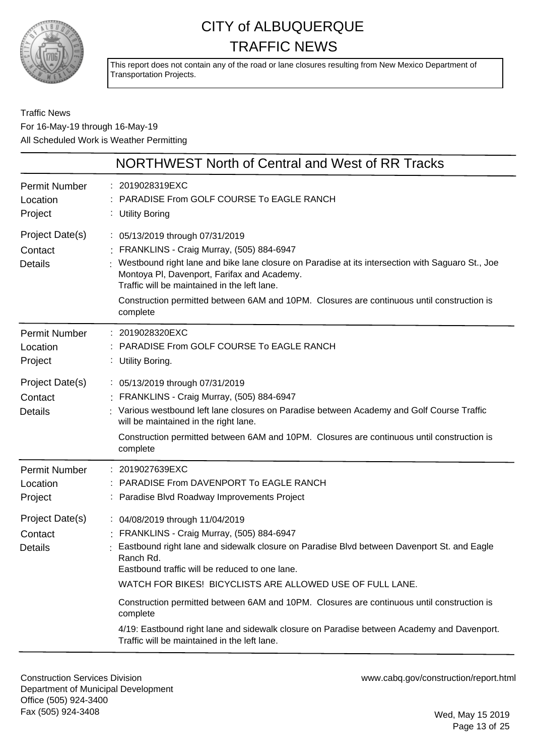

This report does not contain any of the road or lane closures resulting from New Mexico Department of Transportation Projects.

Traffic News For 16-May-19 through 16-May-19 All Scheduled Work is Weather Permitting

|                                              | NORTHWEST North of Central and West of RR Tracks                                                                                                                                                                                                                                                                                                                                                                                                                                                                                                              |
|----------------------------------------------|---------------------------------------------------------------------------------------------------------------------------------------------------------------------------------------------------------------------------------------------------------------------------------------------------------------------------------------------------------------------------------------------------------------------------------------------------------------------------------------------------------------------------------------------------------------|
| <b>Permit Number</b><br>Location<br>Project  | : 2019028319EXC<br>PARADISE From GOLF COURSE To EAGLE RANCH<br>: Utility Boring                                                                                                                                                                                                                                                                                                                                                                                                                                                                               |
| Project Date(s)<br>Contact<br><b>Details</b> | : 05/13/2019 through 07/31/2019<br>: FRANKLINS - Craig Murray, (505) 884-6947<br>Westbound right lane and bike lane closure on Paradise at its intersection with Saguaro St., Joe<br>Montoya PI, Davenport, Farifax and Academy.<br>Traffic will be maintained in the left lane.<br>Construction permitted between 6AM and 10PM. Closures are continuous until construction is<br>complete                                                                                                                                                                    |
| <b>Permit Number</b><br>Location<br>Project  | : 2019028320EXC<br>PARADISE From GOLF COURSE To EAGLE RANCH<br>: Utility Boring.                                                                                                                                                                                                                                                                                                                                                                                                                                                                              |
| Project Date(s)<br>Contact<br><b>Details</b> | : 05/13/2019 through 07/31/2019<br>: FRANKLINS - Craig Murray, (505) 884-6947<br>: Various westbound left lane closures on Paradise between Academy and Golf Course Traffic<br>will be maintained in the right lane.<br>Construction permitted between 6AM and 10PM. Closures are continuous until construction is<br>complete                                                                                                                                                                                                                                |
| <b>Permit Number</b><br>Location<br>Project  | 2019027639EXC<br>PARADISE From DAVENPORT To EAGLE RANCH<br>Paradise Blvd Roadway Improvements Project                                                                                                                                                                                                                                                                                                                                                                                                                                                         |
| Project Date(s)<br>Contact<br><b>Details</b> | : 04/08/2019 through 11/04/2019<br>FRANKLINS - Craig Murray, (505) 884-6947<br>Eastbound right lane and sidewalk closure on Paradise Blvd between Davenport St. and Eagle<br>Ranch Rd.<br>Eastbound traffic will be reduced to one lane.<br>WATCH FOR BIKES! BICYCLISTS ARE ALLOWED USE OF FULL LANE.<br>Construction permitted between 6AM and 10PM. Closures are continuous until construction is<br>complete<br>4/19: Eastbound right lane and sidewalk closure on Paradise between Academy and Davenport.<br>Traffic will be maintained in the left lane. |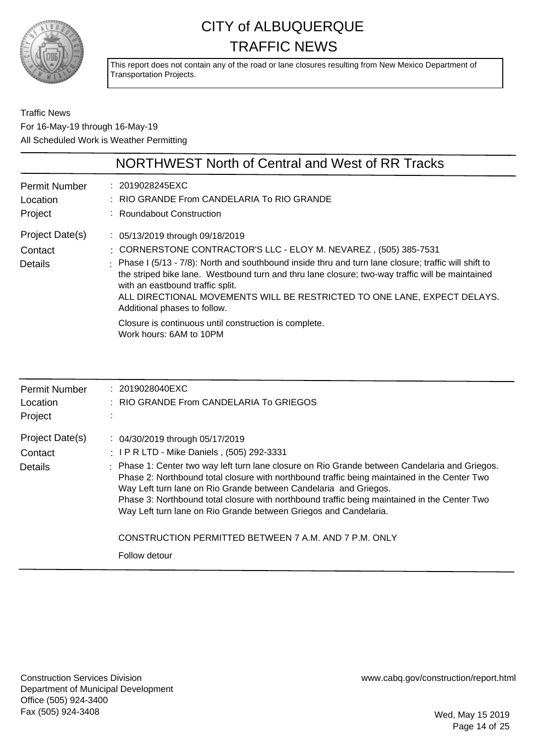

This report does not contain any of the road or lane closures resulting from New Mexico Department of Transportation Projects.

Traffic News For 16-May-19 through 16-May-19 All Scheduled Work is Weather Permitting

|                                             | NORTHWEST North of Central and West of RR Tracks                                                                                                                                                                                                                                                                                                                                                                                                                                                                                                    |
|---------------------------------------------|-----------------------------------------------------------------------------------------------------------------------------------------------------------------------------------------------------------------------------------------------------------------------------------------------------------------------------------------------------------------------------------------------------------------------------------------------------------------------------------------------------------------------------------------------------|
| <b>Permit Number</b><br>Location<br>Project | : 2019028245EXC<br>: RIO GRANDE From CANDELARIA To RIO GRANDE<br>: Roundabout Construction                                                                                                                                                                                                                                                                                                                                                                                                                                                          |
| Project Date(s)<br>Contact<br>Details       | : 05/13/2019 through 09/18/2019<br>: CORNERSTONE CONTRACTOR'S LLC - ELOY M. NEVAREZ, (505) 385-7531<br>: Phase I (5/13 - 7/8): North and southbound inside thru and turn lane closure; traffic will shift to<br>the striped bike lane. Westbound turn and thru lane closure; two-way traffic will be maintained<br>with an eastbound traffic split.<br>ALL DIRECTIONAL MOVEMENTS WILL BE RESTRICTED TO ONE LANE, EXPECT DELAYS.<br>Additional phases to follow.<br>Closure is continuous until construction is complete.<br>Work hours: 6AM to 10PM |

| <b>Permit Number</b><br>Location<br>Project | $: 2019028040 \times C$<br>$\pm$ RIO GRANDE From CANDELARIA To GRIEGOS                                                                                                                                                                                                                                                                                                                                                                 |
|---------------------------------------------|----------------------------------------------------------------------------------------------------------------------------------------------------------------------------------------------------------------------------------------------------------------------------------------------------------------------------------------------------------------------------------------------------------------------------------------|
| Project Date(s)<br>Contact                  | : 04/30/2019 through 05/17/2019<br>: I P R LTD - Mike Daniels, (505) 292-3331                                                                                                                                                                                                                                                                                                                                                          |
| Details                                     | : Phase 1: Center two way left turn lane closure on Rio Grande between Candelaria and Griegos.<br>Phase 2: Northbound total closure with northbound traffic being maintained in the Center Two<br>Way Left turn lane on Rio Grande between Candelaria and Griegos.<br>Phase 3: Northbound total closure with northbound traffic being maintained in the Center Two<br>Way Left turn lane on Rio Grande between Griegos and Candelaria. |
|                                             | CONSTRUCTION PERMITTED BETWEEN 7 A.M. AND 7 P.M. ONLY                                                                                                                                                                                                                                                                                                                                                                                  |
|                                             | Follow detour                                                                                                                                                                                                                                                                                                                                                                                                                          |

Construction Services Division Department of Municipal Development Office (505) 924-3400 Fax (505) 924-3408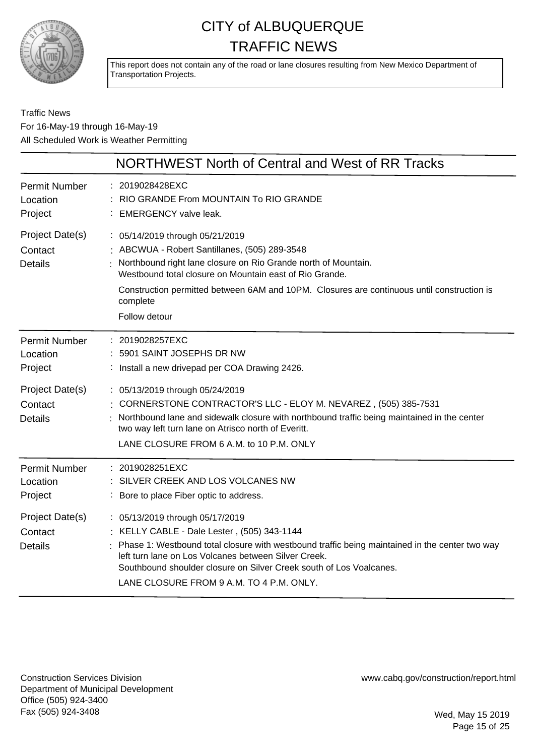

This report does not contain any of the road or lane closures resulting from New Mexico Department of Transportation Projects.

Traffic News For 16-May-19 through 16-May-19 All Scheduled Work is Weather Permitting

|                                              | <b>NORTHWEST North of Central and West of RR Tracks</b>                                                                                                                                                                                                                                                                                                     |
|----------------------------------------------|-------------------------------------------------------------------------------------------------------------------------------------------------------------------------------------------------------------------------------------------------------------------------------------------------------------------------------------------------------------|
| <b>Permit Number</b><br>Location<br>Project  | : 2019028428EXC<br>RIO GRANDE From MOUNTAIN To RIO GRANDE<br><b>EMERGENCY valve leak.</b>                                                                                                                                                                                                                                                                   |
| Project Date(s)<br>Contact<br><b>Details</b> | : 05/14/2019 through 05/21/2019<br>: ABCWUA - Robert Santillanes, (505) 289-3548<br>Northbound right lane closure on Rio Grande north of Mountain.<br>Westbound total closure on Mountain east of Rio Grande.<br>Construction permitted between 6AM and 10PM. Closures are continuous until construction is<br>complete<br>Follow detour                    |
| <b>Permit Number</b><br>Location<br>Project  | : 2019028257EXC<br>5901 SAINT JOSEPHS DR NW<br>: Install a new drivepad per COA Drawing 2426.                                                                                                                                                                                                                                                               |
| Project Date(s)<br>Contact<br><b>Details</b> | : 05/13/2019 through 05/24/2019<br>: CORNERSTONE CONTRACTOR'S LLC - ELOY M. NEVAREZ, (505) 385-7531<br>Northbound lane and sidewalk closure with northbound traffic being maintained in the center<br>two way left turn lane on Atrisco north of Everitt.<br>LANE CLOSURE FROM 6 A.M. to 10 P.M. ONLY                                                       |
| <b>Permit Number</b><br>Location<br>Project  | : 2019028251EXC<br>SILVER CREEK AND LOS VOLCANES NW<br>: Bore to place Fiber optic to address.                                                                                                                                                                                                                                                              |
| Project Date(s)<br>Contact<br><b>Details</b> | : 05/13/2019 through 05/17/2019<br>: KELLY CABLE - Dale Lester, (505) 343-1144<br>Phase 1: Westbound total closure with westbound traffic being maintained in the center two way<br>left turn lane on Los Volcanes between Silver Creek.<br>Southbound shoulder closure on Silver Creek south of Los Voalcanes.<br>LANE CLOSURE FROM 9 A.M. TO 4 P.M. ONLY. |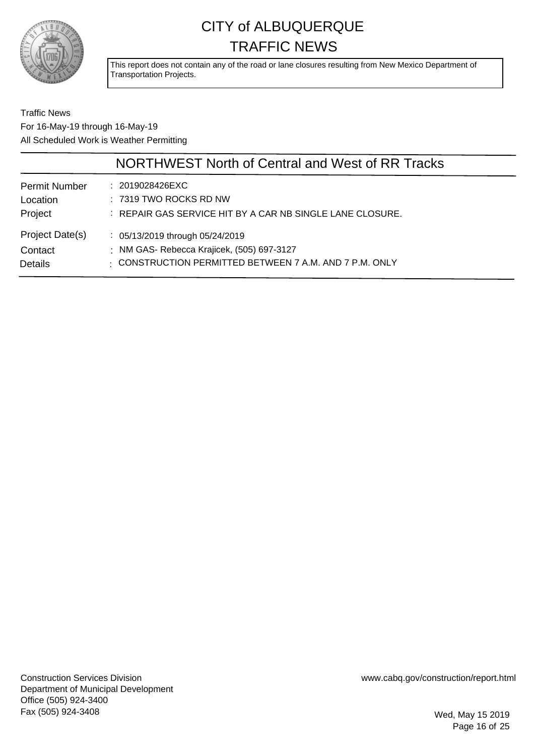

This report does not contain any of the road or lane closures resulting from New Mexico Department of Transportation Projects.

Traffic News For 16-May-19 through 16-May-19 All Scheduled Work is Weather Permitting

|                      | NORTHWEST North of Central and West of RR Tracks          |
|----------------------|-----------------------------------------------------------|
| <b>Permit Number</b> | : 2019028426EXC                                           |
| Location             | $: 7319$ TWO ROCKS RD NW                                  |
| Project              | : REPAIR GAS SERVICE HIT BY A CAR NB SINGLE LANE CLOSURE. |
| Project Date(s)      | : 05/13/2019 through 05/24/2019                           |
| Contact              | : NM GAS- Rebecca Krajicek, (505) 697-3127                |
| <b>Details</b>       | : CONSTRUCTION PERMITTED BETWEEN 7 A.M. AND 7 P.M. ONLY   |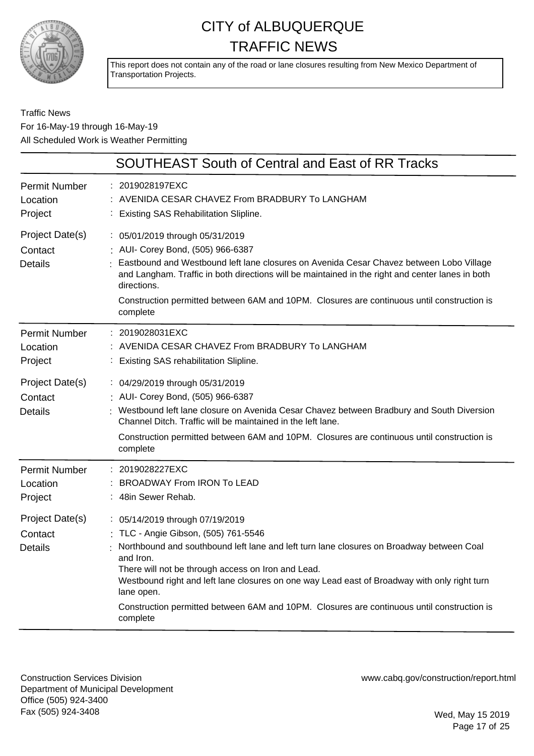

This report does not contain any of the road or lane closures resulting from New Mexico Department of Transportation Projects.

#### Traffic News For 16-May-19 through 16-May-19 All Scheduled Work is Weather Permitting

|                                              | <b>SOUTHEAST South of Central and East of RR Tracks</b>                                                                                                                                                                                                                                                                                                                                                                                                        |
|----------------------------------------------|----------------------------------------------------------------------------------------------------------------------------------------------------------------------------------------------------------------------------------------------------------------------------------------------------------------------------------------------------------------------------------------------------------------------------------------------------------------|
| <b>Permit Number</b><br>Location<br>Project  | : 2019028197EXC<br>AVENIDA CESAR CHAVEZ From BRADBURY To LANGHAM<br>: Existing SAS Rehabilitation Slipline.                                                                                                                                                                                                                                                                                                                                                    |
| Project Date(s)<br>Contact<br><b>Details</b> | : 05/01/2019 through 05/31/2019<br>: AUI- Corey Bond, (505) 966-6387<br>Eastbound and Westbound left lane closures on Avenida Cesar Chavez between Lobo Village<br>and Langham. Traffic in both directions will be maintained in the right and center lanes in both<br>directions.<br>Construction permitted between 6AM and 10PM. Closures are continuous until construction is<br>complete                                                                   |
| <b>Permit Number</b><br>Location<br>Project  | : 2019028031EXC<br>AVENIDA CESAR CHAVEZ From BRADBURY To LANGHAM<br>: Existing SAS rehabilitation Slipline.                                                                                                                                                                                                                                                                                                                                                    |
| Project Date(s)<br>Contact<br><b>Details</b> | : 04/29/2019 through 05/31/2019<br>: AUI- Corey Bond, (505) 966-6387<br>: Westbound left lane closure on Avenida Cesar Chavez between Bradbury and South Diversion<br>Channel Ditch. Traffic will be maintained in the left lane.<br>Construction permitted between 6AM and 10PM. Closures are continuous until construction is<br>complete                                                                                                                    |
| <b>Permit Number</b><br>Location<br>Project  | : 2019028227EXC<br><b>BROADWAY From IRON To LEAD</b><br>: 48in Sewer Rehab.                                                                                                                                                                                                                                                                                                                                                                                    |
| Project Date(s)<br>Contact<br><b>Details</b> | : 05/14/2019 through 07/19/2019<br>: TLC - Angie Gibson, (505) 761-5546<br>Northbound and southbound left lane and left turn lane closures on Broadway between Coal<br>and Iron.<br>There will not be through access on Iron and Lead.<br>Westbound right and left lane closures on one way Lead east of Broadway with only right turn<br>lane open.<br>Construction permitted between 6AM and 10PM. Closures are continuous until construction is<br>complete |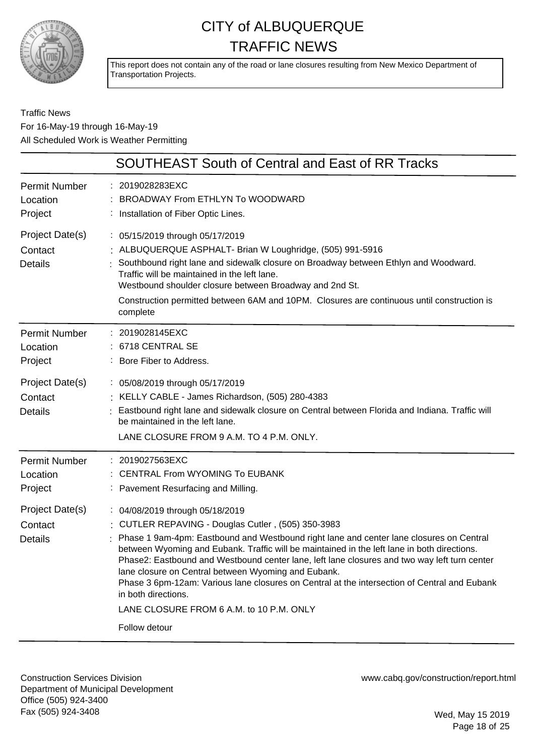

This report does not contain any of the road or lane closures resulting from New Mexico Department of Transportation Projects.

Traffic News For 16-May-19 through 16-May-19 All Scheduled Work is Weather Permitting

|                                                                                             | SOUTHEAST South of Central and East of RR Tracks                                                                                                                                                                                                                                                                                                                                                                                                                                                                                                                                                                           |
|---------------------------------------------------------------------------------------------|----------------------------------------------------------------------------------------------------------------------------------------------------------------------------------------------------------------------------------------------------------------------------------------------------------------------------------------------------------------------------------------------------------------------------------------------------------------------------------------------------------------------------------------------------------------------------------------------------------------------------|
| <b>Permit Number</b><br>Location<br>Project                                                 | 2019028283EXC<br>BROADWAY From ETHLYN To WOODWARD<br>Installation of Fiber Optic Lines.                                                                                                                                                                                                                                                                                                                                                                                                                                                                                                                                    |
| Project Date(s)<br>Contact<br><b>Details</b>                                                | : 05/15/2019 through 05/17/2019<br>: ALBUQUERQUE ASPHALT- Brian W Loughridge, (505) 991-5916<br>Southbound right lane and sidewalk closure on Broadway between Ethlyn and Woodward.<br>Traffic will be maintained in the left lane.<br>Westbound shoulder closure between Broadway and 2nd St.<br>Construction permitted between 6AM and 10PM. Closures are continuous until construction is<br>complete                                                                                                                                                                                                                   |
| <b>Permit Number</b><br>Location<br>Project<br>Project Date(s)<br>Contact<br><b>Details</b> | 2019028145EXC<br>6718 CENTRAL SE<br>Bore Fiber to Address.<br>: 05/08/2019 through 05/17/2019<br>: KELLY CABLE - James Richardson, (505) 280-4383<br>Eastbound right lane and sidewalk closure on Central between Florida and Indiana. Traffic will<br>be maintained in the left lane.                                                                                                                                                                                                                                                                                                                                     |
|                                                                                             | LANE CLOSURE FROM 9 A.M. TO 4 P.M. ONLY.                                                                                                                                                                                                                                                                                                                                                                                                                                                                                                                                                                                   |
| <b>Permit Number</b><br>Location<br>Project                                                 | : 2019027563EXC<br><b>CENTRAL From WYOMING To EUBANK</b><br>Pavement Resurfacing and Milling.                                                                                                                                                                                                                                                                                                                                                                                                                                                                                                                              |
| Project Date(s)<br>Contact<br><b>Details</b>                                                | : 04/08/2019 through 05/18/2019<br>: CUTLER REPAVING - Douglas Cutler, (505) 350-3983<br>Phase 1 9am-4pm: Eastbound and Westbound right lane and center lane closures on Central<br>between Wyoming and Eubank. Traffic will be maintained in the left lane in both directions.<br>Phase2: Eastbound and Westbound center lane, left lane closures and two way left turn center<br>lane closure on Central between Wyoming and Eubank.<br>Phase 3 6pm-12am: Various lane closures on Central at the intersection of Central and Eubank<br>in both directions.<br>LANE CLOSURE FROM 6 A.M. to 10 P.M. ONLY<br>Follow detour |

Construction Services Division Department of Municipal Development Office (505) 924-3400 Fax (505) 924-3408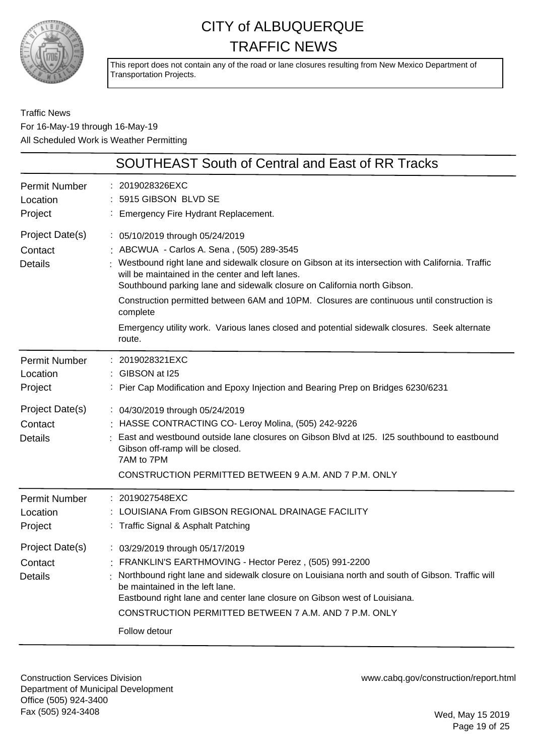

This report does not contain any of the road or lane closures resulting from New Mexico Department of Transportation Projects.

Traffic News For 16-May-19 through 16-May-19 All Scheduled Work is Weather Permitting

|                                                                                             | SOUTHEAST South of Central and East of RR Tracks                                                                                                                                                                                                                                                                                                                                                                                                                                                                                   |
|---------------------------------------------------------------------------------------------|------------------------------------------------------------------------------------------------------------------------------------------------------------------------------------------------------------------------------------------------------------------------------------------------------------------------------------------------------------------------------------------------------------------------------------------------------------------------------------------------------------------------------------|
| <b>Permit Number</b><br>Location<br>Project                                                 | 2019028326EXC<br>5915 GIBSON BLVD SE<br>Emergency Fire Hydrant Replacement.                                                                                                                                                                                                                                                                                                                                                                                                                                                        |
| Project Date(s)<br>Contact<br><b>Details</b>                                                | : 05/10/2019 through 05/24/2019<br>ABCWUA - Carlos A. Sena, (505) 289-3545<br>Westbound right lane and sidewalk closure on Gibson at its intersection with California. Traffic<br>will be maintained in the center and left lanes.<br>Southbound parking lane and sidewalk closure on California north Gibson.<br>Construction permitted between 6AM and 10PM. Closures are continuous until construction is<br>complete<br>Emergency utility work. Various lanes closed and potential sidewalk closures. Seek alternate<br>route. |
| <b>Permit Number</b><br>Location<br>Project                                                 | 2019028321EXC<br>GIBSON at I25<br>Pier Cap Modification and Epoxy Injection and Bearing Prep on Bridges 6230/6231                                                                                                                                                                                                                                                                                                                                                                                                                  |
| Project Date(s)<br>Contact<br><b>Details</b>                                                | : 04/30/2019 through 05/24/2019<br>: HASSE CONTRACTING CO- Leroy Molina, (505) 242-9226<br>East and westbound outside lane closures on Gibson Blvd at I25. I25 southbound to eastbound<br>Gibson off-ramp will be closed.<br>7AM to 7PM<br>CONSTRUCTION PERMITTED BETWEEN 9 A.M. AND 7 P.M. ONLY                                                                                                                                                                                                                                   |
| <b>Permit Number</b><br>Location<br>Project<br>Project Date(s)<br>Contact<br><b>Details</b> | 2019027548EXC<br>LOUISIANA From GIBSON REGIONAL DRAINAGE FACILITY<br>: Traffic Signal & Asphalt Patching<br>: 03/29/2019 through 05/17/2019<br>FRANKLIN'S EARTHMOVING - Hector Perez, (505) 991-2200<br>Northbound right lane and sidewalk closure on Louisiana north and south of Gibson. Traffic will<br>be maintained in the left lane.<br>Eastbound right lane and center lane closure on Gibson west of Louisiana.<br>CONSTRUCTION PERMITTED BETWEEN 7 A.M. AND 7 P.M. ONLY                                                   |
|                                                                                             | Follow detour                                                                                                                                                                                                                                                                                                                                                                                                                                                                                                                      |

Construction Services Division Department of Municipal Development Office (505) 924-3400 Fax (505) 924-3408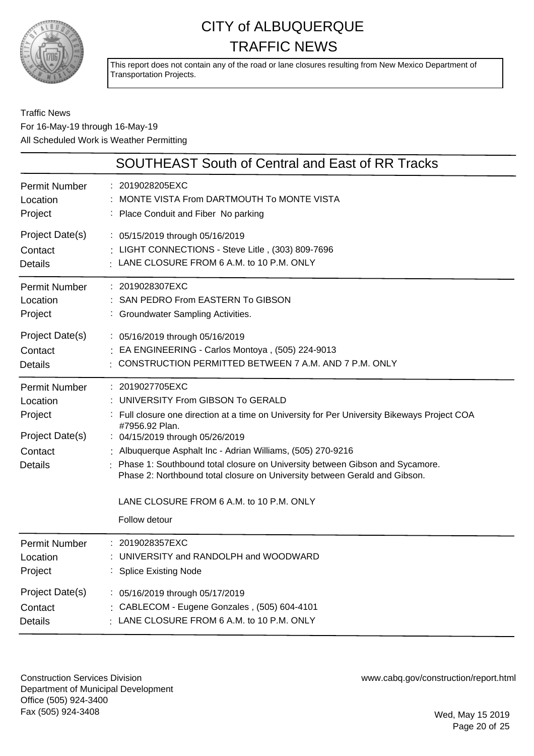

This report does not contain any of the road or lane closures resulting from New Mexico Department of Transportation Projects.

#### Traffic News For 16-May-19 through 16-May-19 All Scheduled Work is Weather Permitting

|                                                                                      | <b>SOUTHEAST South of Central and East of RR Tracks</b>                                                                                                                                                                                                                                                                                                                                                                                                                                                |
|--------------------------------------------------------------------------------------|--------------------------------------------------------------------------------------------------------------------------------------------------------------------------------------------------------------------------------------------------------------------------------------------------------------------------------------------------------------------------------------------------------------------------------------------------------------------------------------------------------|
| Permit Number                                                                        | : 2019028205EXC                                                                                                                                                                                                                                                                                                                                                                                                                                                                                        |
| Location                                                                             | MONTE VISTA From DARTMOUTH To MONTE VISTA                                                                                                                                                                                                                                                                                                                                                                                                                                                              |
| Project                                                                              | : Place Conduit and Fiber No parking                                                                                                                                                                                                                                                                                                                                                                                                                                                                   |
| Project Date(s)                                                                      | : 05/15/2019 through 05/16/2019                                                                                                                                                                                                                                                                                                                                                                                                                                                                        |
| Contact                                                                              | : LIGHT CONNECTIONS - Steve Litle, (303) 809-7696                                                                                                                                                                                                                                                                                                                                                                                                                                                      |
| <b>Details</b>                                                                       | LANE CLOSURE FROM 6 A.M. to 10 P.M. ONLY                                                                                                                                                                                                                                                                                                                                                                                                                                                               |
| <b>Permit Number</b>                                                                 | : 2019028307EXC                                                                                                                                                                                                                                                                                                                                                                                                                                                                                        |
| Location                                                                             | : SAN PEDRO From EASTERN To GIBSON                                                                                                                                                                                                                                                                                                                                                                                                                                                                     |
| Project                                                                              | : Groundwater Sampling Activities.                                                                                                                                                                                                                                                                                                                                                                                                                                                                     |
| Project Date(s)                                                                      | : 05/16/2019 through 05/16/2019                                                                                                                                                                                                                                                                                                                                                                                                                                                                        |
| Contact                                                                              | EA ENGINEERING - Carlos Montoya, (505) 224-9013                                                                                                                                                                                                                                                                                                                                                                                                                                                        |
| <b>Details</b>                                                                       | CONSTRUCTION PERMITTED BETWEEN 7 A.M. AND 7 P.M. ONLY                                                                                                                                                                                                                                                                                                                                                                                                                                                  |
| Permit Number<br>Location<br>Project<br>Project Date(s)<br>Contact<br><b>Details</b> | : 2019027705EXC<br>: UNIVERSITY From GIBSON To GERALD<br>: Full closure one direction at a time on University for Per University Bikeways Project COA<br>#7956.92 Plan.<br>: 04/15/2019 through 05/26/2019<br>: Albuquerque Asphalt Inc - Adrian Williams, (505) 270-9216<br>: Phase 1: Southbound total closure on University between Gibson and Sycamore.<br>Phase 2: Northbound total closure on University between Gerald and Gibson.<br>LANE CLOSURE FROM 6 A.M. to 10 P.M. ONLY<br>Follow detour |
| <b>Permit Number</b>                                                                 | : 2019028357EXC                                                                                                                                                                                                                                                                                                                                                                                                                                                                                        |
| Location                                                                             | : UNIVERSITY and RANDOLPH and WOODWARD                                                                                                                                                                                                                                                                                                                                                                                                                                                                 |
| Project                                                                              | : Splice Existing Node                                                                                                                                                                                                                                                                                                                                                                                                                                                                                 |
| Project Date(s)                                                                      | : 05/16/2019 through 05/17/2019                                                                                                                                                                                                                                                                                                                                                                                                                                                                        |
| Contact                                                                              | : CABLECOM - Eugene Gonzales, (505) 604-4101                                                                                                                                                                                                                                                                                                                                                                                                                                                           |
| <b>Details</b>                                                                       | : LANE CLOSURE FROM 6 A.M. to 10 P.M. ONLY                                                                                                                                                                                                                                                                                                                                                                                                                                                             |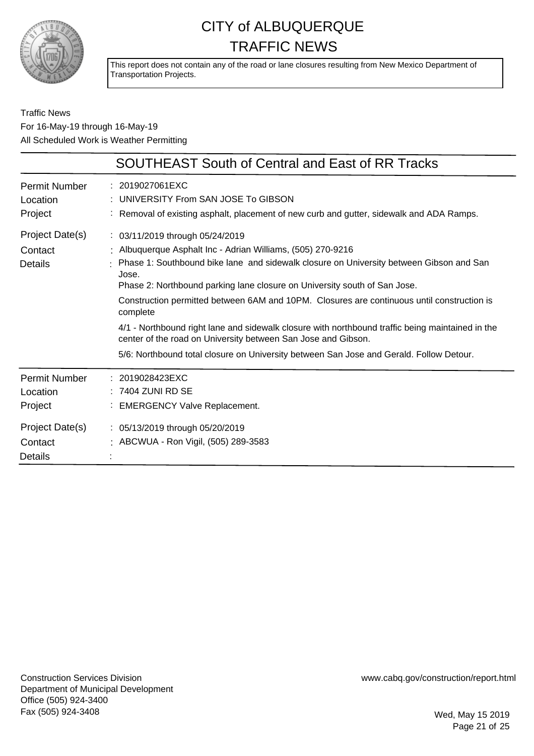

This report does not contain any of the road or lane closures resulting from New Mexico Department of Transportation Projects.

#### Traffic News For 16-May-19 through 16-May-19 All Scheduled Work is Weather Permitting

|                                                                                      | <b>SOUTHEAST South of Central and East of RR Tracks</b>                                                                                                                                                                                                                                                                                                                                                                                                                                                                                                                                                                                                     |
|--------------------------------------------------------------------------------------|-------------------------------------------------------------------------------------------------------------------------------------------------------------------------------------------------------------------------------------------------------------------------------------------------------------------------------------------------------------------------------------------------------------------------------------------------------------------------------------------------------------------------------------------------------------------------------------------------------------------------------------------------------------|
| <b>Permit Number</b><br>Location<br>Project                                          | : 2019027061EXC<br>UNIVERSITY From SAN JOSE To GIBSON<br>: Removal of existing asphalt, placement of new curb and gutter, sidewalk and ADA Ramps.                                                                                                                                                                                                                                                                                                                                                                                                                                                                                                           |
| Project Date(s)<br>Contact<br><b>Details</b>                                         | : 03/11/2019 through 05/24/2019<br>: Albuquerque Asphalt Inc - Adrian Williams, (505) 270-9216<br>: Phase 1: Southbound bike lane and sidewalk closure on University between Gibson and San<br>Jose.<br>Phase 2: Northbound parking lane closure on University south of San Jose.<br>Construction permitted between 6AM and 10PM. Closures are continuous until construction is<br>complete<br>4/1 - Northbound right lane and sidewalk closure with northbound traffic being maintained in the<br>center of the road on University between San Jose and Gibson.<br>5/6: Northbound total closure on University between San Jose and Gerald. Follow Detour. |
| Permit Number<br>Location<br>Project<br>Project Date(s)<br>Contact<br><b>Details</b> | : 2019028423EXC<br>$: 7404$ ZUNI RD SE<br>: EMERGENCY Valve Replacement.<br>: 05/13/2019 through 05/20/2019<br>: ABCWUA - Ron Vigil, (505) 289-3583                                                                                                                                                                                                                                                                                                                                                                                                                                                                                                         |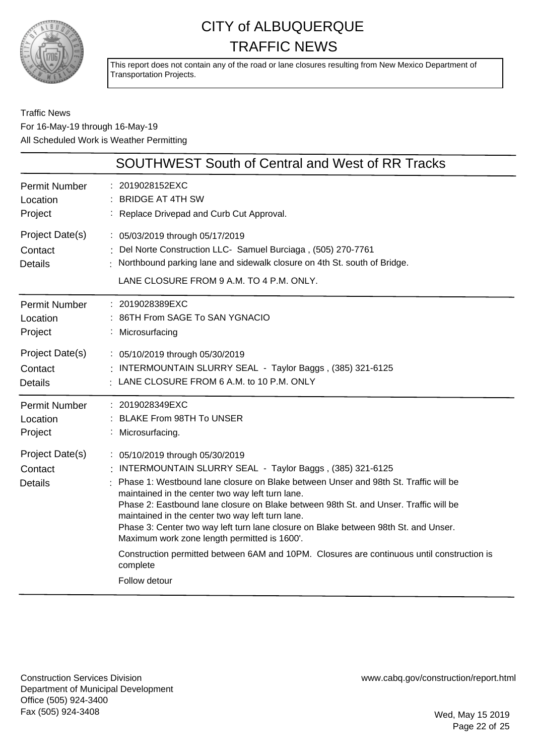

This report does not contain any of the road or lane closures resulting from New Mexico Department of Transportation Projects.

#### Traffic News For 16-May-19 through 16-May-19 All Scheduled Work is Weather Permitting

|                                              | <b>SOUTHWEST South of Central and West of RR Tracks</b>                                                                                                                                                                                                                                                                                                                                                                                                                                                                                                                                                                 |
|----------------------------------------------|-------------------------------------------------------------------------------------------------------------------------------------------------------------------------------------------------------------------------------------------------------------------------------------------------------------------------------------------------------------------------------------------------------------------------------------------------------------------------------------------------------------------------------------------------------------------------------------------------------------------------|
| <b>Permit Number</b>                         | : 2019028152EXC                                                                                                                                                                                                                                                                                                                                                                                                                                                                                                                                                                                                         |
| Location                                     | : BRIDGE AT 4TH SW                                                                                                                                                                                                                                                                                                                                                                                                                                                                                                                                                                                                      |
| Project                                      | : Replace Drivepad and Curb Cut Approval.                                                                                                                                                                                                                                                                                                                                                                                                                                                                                                                                                                               |
| Project Date(s)<br>Contact<br><b>Details</b> | : 05/03/2019 through 05/17/2019<br>: Del Norte Construction LLC- Samuel Burciaga, (505) 270-7761<br>: Northbound parking lane and sidewalk closure on 4th St. south of Bridge.<br>LANE CLOSURE FROM 9 A.M. TO 4 P.M. ONLY.                                                                                                                                                                                                                                                                                                                                                                                              |
| <b>Permit Number</b>                         | : 2019028389EXC                                                                                                                                                                                                                                                                                                                                                                                                                                                                                                                                                                                                         |
| Location                                     | : 86TH From SAGE To SAN YGNACIO                                                                                                                                                                                                                                                                                                                                                                                                                                                                                                                                                                                         |
| Project                                      | : Microsurfacing                                                                                                                                                                                                                                                                                                                                                                                                                                                                                                                                                                                                        |
| Project Date(s)                              | : 05/10/2019 through 05/30/2019                                                                                                                                                                                                                                                                                                                                                                                                                                                                                                                                                                                         |
| Contact                                      | : INTERMOUNTAIN SLURRY SEAL - Taylor Baggs, (385) 321-6125                                                                                                                                                                                                                                                                                                                                                                                                                                                                                                                                                              |
| <b>Details</b>                               | : LANE CLOSURE FROM 6 A.M. to 10 P.M. ONLY                                                                                                                                                                                                                                                                                                                                                                                                                                                                                                                                                                              |
| <b>Permit Number</b>                         | : 2019028349EXC                                                                                                                                                                                                                                                                                                                                                                                                                                                                                                                                                                                                         |
| Location                                     | : BLAKE From 98TH To UNSER                                                                                                                                                                                                                                                                                                                                                                                                                                                                                                                                                                                              |
| Project                                      | : Microsurfacing.                                                                                                                                                                                                                                                                                                                                                                                                                                                                                                                                                                                                       |
| Project Date(s)<br>Contact<br><b>Details</b> | : 05/10/2019 through 05/30/2019<br>INTERMOUNTAIN SLURRY SEAL - Taylor Baggs, (385) 321-6125<br>Phase 1: Westbound lane closure on Blake between Unser and 98th St. Traffic will be<br>maintained in the center two way left turn lane.<br>Phase 2: Eastbound lane closure on Blake between 98th St. and Unser. Traffic will be<br>maintained in the center two way left turn lane.<br>Phase 3: Center two way left turn lane closure on Blake between 98th St. and Unser.<br>Maximum work zone length permitted is 1600'.<br>Construction permitted between 6AM and 10PM. Closures are continuous until construction is |
|                                              | complete<br>Follow detour                                                                                                                                                                                                                                                                                                                                                                                                                                                                                                                                                                                               |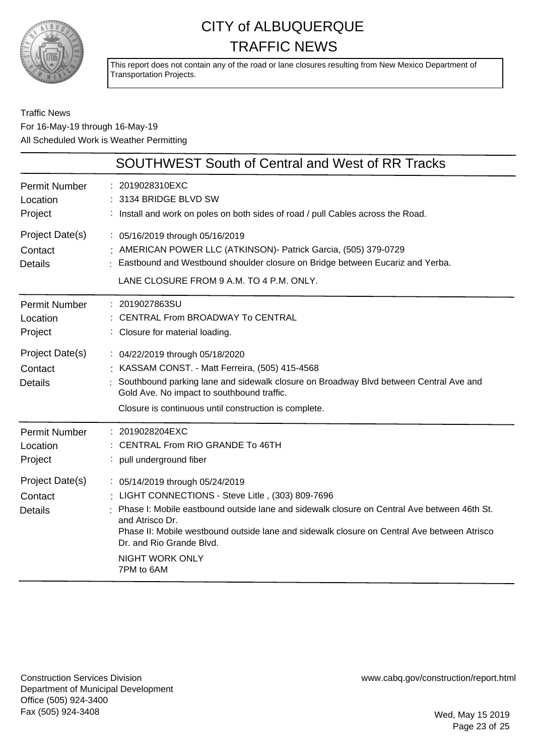

This report does not contain any of the road or lane closures resulting from New Mexico Department of Transportation Projects.

#### Traffic News For 16-May-19 through 16-May-19 All Scheduled Work is Weather Permitting

|                                              | <b>SOUTHWEST South of Central and West of RR Tracks</b>                                                                                                                                                                                                                                                                                                                 |
|----------------------------------------------|-------------------------------------------------------------------------------------------------------------------------------------------------------------------------------------------------------------------------------------------------------------------------------------------------------------------------------------------------------------------------|
| <b>Permit Number</b><br>Location<br>Project  | : 2019028310EXC<br>: 3134 BRIDGE BLVD SW<br>: Install and work on poles on both sides of road / pull Cables across the Road.                                                                                                                                                                                                                                            |
| Project Date(s)<br>Contact<br><b>Details</b> | : 05/16/2019 through 05/16/2019<br>: AMERICAN POWER LLC (ATKINSON) - Patrick Garcia, (505) 379-0729<br>Eastbound and Westbound shoulder closure on Bridge between Eucariz and Yerba.<br>LANE CLOSURE FROM 9 A.M. TO 4 P.M. ONLY.                                                                                                                                        |
| <b>Permit Number</b><br>Location<br>Project  | : 2019027863SU<br>CENTRAL From BROADWAY To CENTRAL<br>: Closure for material loading.                                                                                                                                                                                                                                                                                   |
| Project Date(s)<br>Contact<br><b>Details</b> | : 04/22/2019 through 05/18/2020<br>: KASSAM CONST. - Matt Ferreira, (505) 415-4568<br>Southbound parking lane and sidewalk closure on Broadway Blvd between Central Ave and<br>Gold Ave. No impact to southbound traffic.<br>Closure is continuous until construction is complete.                                                                                      |
| <b>Permit Number</b><br>Location<br>Project  | : 2019028204EXC<br>CENTRAL From RIO GRANDE To 46TH<br>: pull underground fiber                                                                                                                                                                                                                                                                                          |
| Project Date(s)<br>Contact<br><b>Details</b> | : 05/14/2019 through 05/24/2019<br>LIGHT CONNECTIONS - Steve Litle, (303) 809-7696<br>Phase I: Mobile eastbound outside lane and sidewalk closure on Central Ave between 46th St.<br>and Atrisco Dr.<br>Phase II: Mobile westbound outside lane and sidewalk closure on Central Ave between Atrisco<br>Dr. and Rio Grande Blvd.<br><b>NIGHT WORK ONLY</b><br>7PM to 6AM |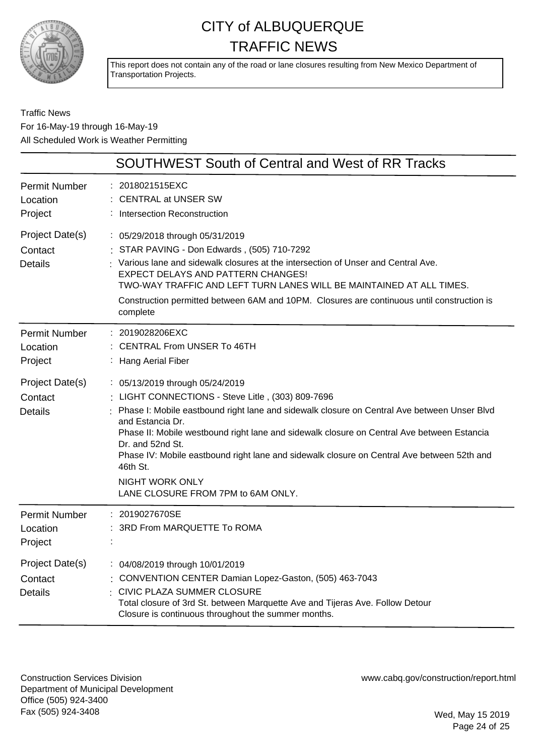

This report does not contain any of the road or lane closures resulting from New Mexico Department of Transportation Projects.

Traffic News For 16-May-19 through 16-May-19 All Scheduled Work is Weather Permitting

|                                              | <b>SOUTHWEST South of Central and West of RR Tracks</b>                                                                                                                                                                                                                                                                                                                                                                                                                                           |
|----------------------------------------------|---------------------------------------------------------------------------------------------------------------------------------------------------------------------------------------------------------------------------------------------------------------------------------------------------------------------------------------------------------------------------------------------------------------------------------------------------------------------------------------------------|
| <b>Permit Number</b><br>Location<br>Project  | 2018021515EXC<br><b>CENTRAL at UNSER SW</b><br>Intersection Reconstruction                                                                                                                                                                                                                                                                                                                                                                                                                        |
| Project Date(s)<br>Contact<br><b>Details</b> | : 05/29/2018 through 05/31/2019<br>: STAR PAVING - Don Edwards, (505) 710-7292<br>Various lane and sidewalk closures at the intersection of Unser and Central Ave.<br>EXPECT DELAYS AND PATTERN CHANGES!<br>TWO-WAY TRAFFIC AND LEFT TURN LANES WILL BE MAINTAINED AT ALL TIMES.<br>Construction permitted between 6AM and 10PM. Closures are continuous until construction is<br>complete                                                                                                        |
| <b>Permit Number</b><br>Location<br>Project  | 2019028206EXC<br><b>CENTRAL From UNSER To 46TH</b><br><b>Hang Aerial Fiber</b>                                                                                                                                                                                                                                                                                                                                                                                                                    |
| Project Date(s)<br>Contact<br><b>Details</b> | : 05/13/2019 through 05/24/2019<br>LIGHT CONNECTIONS - Steve Litle, (303) 809-7696<br>Phase I: Mobile eastbound right lane and sidewalk closure on Central Ave between Unser Blvd<br>and Estancia Dr.<br>Phase II: Mobile westbound right lane and sidewalk closure on Central Ave between Estancia<br>Dr. and 52nd St.<br>Phase IV: Mobile eastbound right lane and sidewalk closure on Central Ave between 52th and<br>46th St.<br><b>NIGHT WORK ONLY</b><br>LANE CLOSURE FROM 7PM to 6AM ONLY. |
| <b>Permit Number</b><br>Location<br>Project  | 2019027670SE<br>3RD From MARQUETTE To ROMA                                                                                                                                                                                                                                                                                                                                                                                                                                                        |
| Project Date(s)<br>Contact<br><b>Details</b> | : 04/08/2019 through 10/01/2019<br>: CONVENTION CENTER Damian Lopez-Gaston, (505) 463-7043<br>CIVIC PLAZA SUMMER CLOSURE<br>Total closure of 3rd St. between Marquette Ave and Tijeras Ave. Follow Detour<br>Closure is continuous throughout the summer months.                                                                                                                                                                                                                                  |